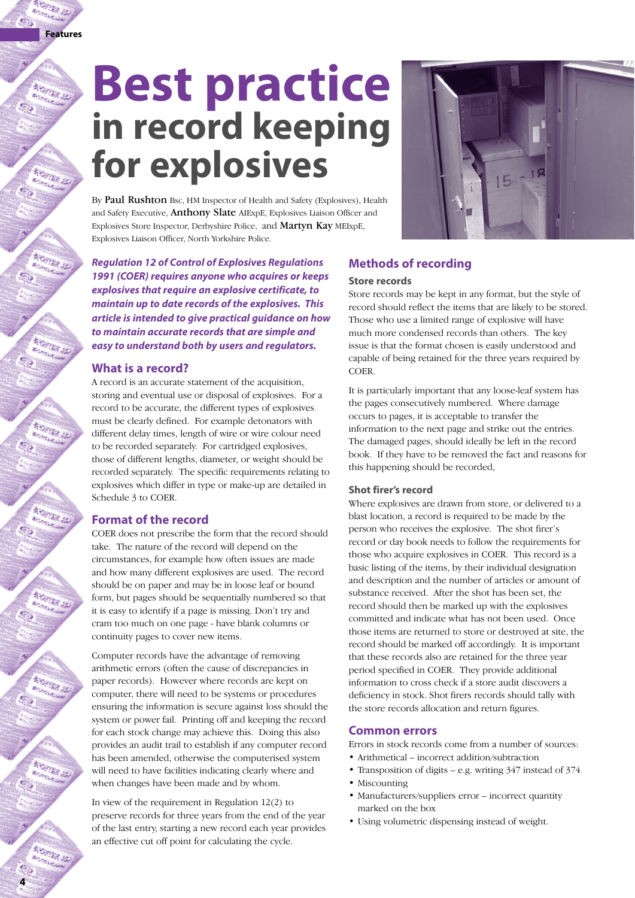# **Best practice in record keeping for explosives**

By Paul Rushton Bsc, HM Inspector of Health and Safety (Explosives), Health and Safety Executive, Anthony Slate AIExpE, Explosives Liaison Officer and Explosives Store Inspector, Derbyshire Police, and Martyn Kay MEIxpE, Explosives Liaison Officer, North Yorkshire Police.



## **What is a record?**

**Features**

A record is an accurate statement of the acquisition, storing and eventual use or disposal of explosives. For a record to be accurate, the different types of explosives must be clearly defined. For example detonators with different delay times, length of wire or wire colour need to be recorded separately. For cartridged explosives, those of different lengths, diameter, or weight should be recorded separately. The specific requirements relating to explosives which differ in type or make-up are detailed in Schedule 3 to COER.

## **Format of the record**

COER does not prescribe the form that the record should take. The nature of the record will depend on the circumstances, for example how often issues are made and how many different explosives are used. The record should be on paper and may be in loose leaf or bound form, but pages should be sequentially numbered so that it is easy to identify if a page is missing. Don't try and cram too much on one page - have blank columns or continuity pages to cover new items.

Computer records have the advantage of removing arithmetic errors (often the cause of discrepancies in paper records). However where records are kept on computer, there will need to be systems or procedures ensuring the information is secure against loss should the system or power fail. Printing off and keeping the record for each stock change may achieve this. Doing this also provides an audit trail to establish if any computer record has been amended, otherwise the computerised system will need to have facilities indicating clearly where and when changes have been made and by whom.

In view of the requirement in Regulation 12(2) to preserve records for three years from the end of the year of the last entry, starting a new record each year provides an effective cut off point for calculating the cycle.



## **Methods of recording**

#### **Store records**

Store records may be kept in any format, but the style of record should reflect the items that are likely to be stored. Those who use a limited range of explosive will have much more condensed records than others. The key issue is that the format chosen is easily understood and capable of being retained for the three years required by **COER** 

It is particularly important that any loose-leaf system has the pages consecutively numbered. Where damage occurs to pages, it is acceptable to transfer the information to the next page and strike out the entries. The damaged pages, should ideally be left in the record book. If they have to be removed the fact and reasons for this happening should be recorded,

#### **Shot firer's record**

Where explosives are drawn from store, or delivered to a blast location, a record is required to be made by the person who receives the explosive. The shot firer's record or day book needs to follow the requirements for those who acquire explosives in COER. This record is a basic listing of the items, by their individual designation and description and the number of articles or amount of substance received. After the shot has been set, the record should then be marked up with the explosives committed and indicate what has not been used. Once those items are returned to store or destroyed at site, the record should be marked off accordingly. It is important that these records also are retained for the three year period specified in COER. They provide additional information to cross check if a store audit discovers a deficiency in stock. Shot firers records should tally with the store records allocation and return figures.

#### **Common errors**

- Errors in stock records come from a number of sources:
- Arithmetical incorrect addition/subtraction
- Transposition of digits e.g. writing 347 instead of 374
- Miscounting
- Manufacturers/suppliers error incorrect quantity marked on the box
- Using volumetric dispensing instead of weight.

ma .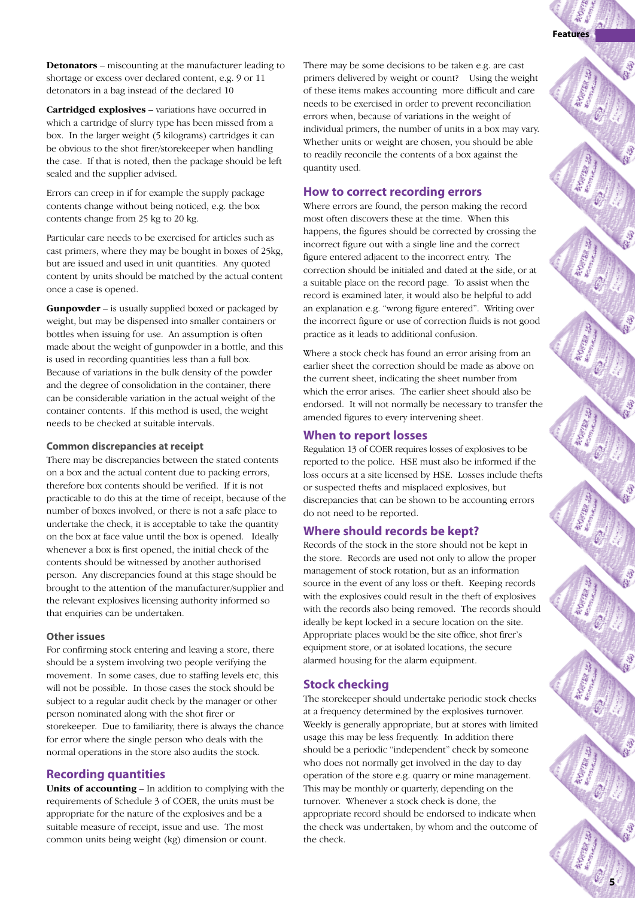**Cartridged explosives** – variations have occurred in which a cartridge of slurry type has been missed from a box. In the larger weight (5 kilograms) cartridges it can be obvious to the shot firer/storekeeper when handling the case. If that is noted, then the package should be left sealed and the supplier advised.

Errors can creep in if for example the supply package contents change without being noticed, e.g. the box contents change from 25 kg to 20 kg.

Particular care needs to be exercised for articles such as cast primers, where they may be bought in boxes of 25kg, but are issued and used in unit quantities. Any quoted content by units should be matched by the actual content once a case is opened.

**Gunpowder** – is usually supplied boxed or packaged by weight, but may be dispensed into smaller containers or bottles when issuing for use. An assumption is often made about the weight of gunpowder in a bottle, and this is used in recording quantities less than a full box. Because of variations in the bulk density of the powder and the degree of consolidation in the container, there can be considerable variation in the actual weight of the container contents. If this method is used, the weight needs to be checked at suitable intervals.

#### **Common discrepancies at receipt**

There may be discrepancies between the stated contents on a box and the actual content due to packing errors, therefore box contents should be verified. If it is not practicable to do this at the time of receipt, because of the number of boxes involved, or there is not a safe place to undertake the check, it is acceptable to take the quantity on the box at face value until the box is opened. Ideally whenever a box is first opened, the initial check of the contents should be witnessed by another authorised person. Any discrepancies found at this stage should be brought to the attention of the manufacturer/supplier and the relevant explosives licensing authority informed so that enquiries can be undertaken.

### **Other issues**

For confirming stock entering and leaving a store, there should be a system involving two people verifying the movement. In some cases, due to staffing levels etc, this will not be possible. In those cases the stock should be subject to a regular audit check by the manager or other person nominated along with the shot firer or storekeeper. Due to familiarity, there is always the chance for error where the single person who deals with the normal operations in the store also audits the stock.

# **Recording quantities**

**Units of accounting** – In addition to complying with the requirements of Schedule 3 of COER, the units must be appropriate for the nature of the explosives and be a suitable measure of receipt, issue and use. The most common units being weight (kg) dimension or count.

There may be some decisions to be taken e.g. are cast primers delivered by weight or count? Using the weight of these items makes accounting more difficult and care needs to be exercised in order to prevent reconciliation errors when, because of variations in the weight of individual primers, the number of units in a box may vary. Whether units or weight are chosen, you should be able to readily reconcile the contents of a box against the quantity used.

**Features**

## **How to correct recording errors**

Where errors are found, the person making the record most often discovers these at the time. When this happens, the figures should be corrected by crossing the incorrect figure out with a single line and the correct figure entered adjacent to the incorrect entry. The correction should be initialed and dated at the side, or at a suitable place on the record page. To assist when the record is examined later, it would also be helpful to add an explanation e.g. "wrong figure entered". Writing over the incorrect figure or use of correction fluids is not good practice as it leads to additional confusion.

Where a stock check has found an error arising from an earlier sheet the correction should be made as above on the current sheet, indicating the sheet number from which the error arises. The earlier sheet should also be endorsed. It will not normally be necessary to transfer the amended figures to every intervening sheet.

## **When to report losses**

Regulation 13 of COER requires losses of explosives to be reported to the police. HSE must also be informed if the loss occurs at a site licensed by HSE. Losses include thefts or suspected thefts and misplaced explosives, but discrepancies that can be shown to be accounting errors do not need to be reported.

# **Where should records be kept?**

Records of the stock in the store should not be kept in the store. Records are used not only to allow the proper management of stock rotation, but as an information source in the event of any loss or theft. Keeping records with the explosives could result in the theft of explosives with the records also being removed. The records should ideally be kept locked in a secure location on the site. Appropriate places would be the site office, shot firer's equipment store, or at isolated locations, the secure alarmed housing for the alarm equipment.

# **Stock checking**

The storekeeper should undertake periodic stock checks at a frequency determined by the explosives turnover. Weekly is generally appropriate, but at stores with limited usage this may be less frequently. In addition there should be a periodic "independent" check by someone who does not normally get involved in the day to day operation of the store e.g. quarry or mine management. This may be monthly or quarterly, depending on the turnover. Whenever a stock check is done, the appropriate record should be endorsed to indicate when the check was undertaken, by whom and the outcome of the check.